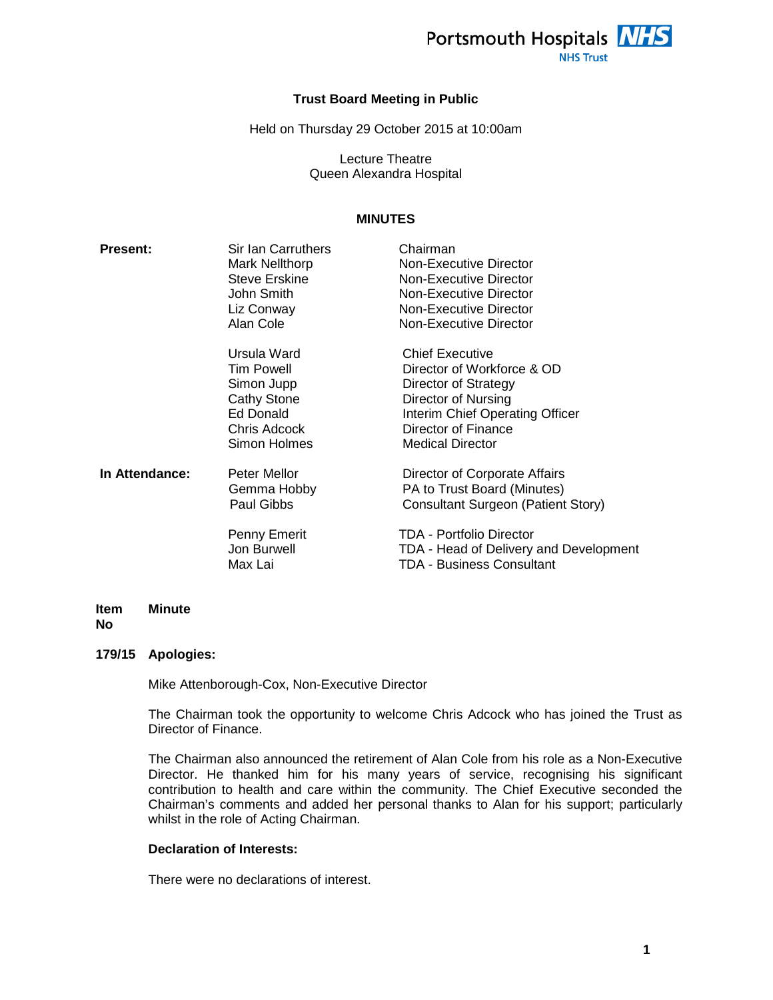

**NHS Trust** 

## **Trust Board Meeting in Public**

Held on Thursday 29 October 2015 at 10:00am

Lecture Theatre Queen Alexandra Hospital

## **MINUTES**

| <b>Present:</b> | Sir Ian Carruthers<br>Mark Nellthorp<br><b>Steve Erskine</b><br>John Smith<br>Liz Conway<br>Alan Cole             | Chairman<br>Non-Executive Director<br>Non-Executive Director<br><b>Non-Executive Director</b><br>Non-Executive Director<br>Non-Executive Director                                                                   |
|-----------------|-------------------------------------------------------------------------------------------------------------------|---------------------------------------------------------------------------------------------------------------------------------------------------------------------------------------------------------------------|
|                 | Ursula Ward<br><b>Tim Powell</b><br>Simon Jupp<br><b>Cathy Stone</b><br>Ed Donald<br>Chris Adcock<br>Simon Holmes | <b>Chief Executive</b><br>Director of Workforce & OD<br>Director of Strategy<br>Director of Nursing<br>Interim Chief Operating Officer<br>Director of Finance<br><b>Medical Director</b>                            |
| In Attendance:  | Peter Mellor<br>Gemma Hobby<br>Paul Gibbs<br>Penny Emerit<br>Jon Burwell<br>Max Lai                               | Director of Corporate Affairs<br>PA to Trust Board (Minutes)<br>Consultant Surgeon (Patient Story)<br><b>TDA - Portfolio Director</b><br>TDA - Head of Delivery and Development<br><b>TDA - Business Consultant</b> |
|                 |                                                                                                                   |                                                                                                                                                                                                                     |

#### **Item Minute**

## **No**

## **179/15 Apologies:**

Mike Attenborough-Cox, Non-Executive Director

The Chairman took the opportunity to welcome Chris Adcock who has joined the Trust as Director of Finance.

The Chairman also announced the retirement of Alan Cole from his role as a Non-Executive Director. He thanked him for his many years of service, recognising his significant contribution to health and care within the community. The Chief Executive seconded the Chairman's comments and added her personal thanks to Alan for his support; particularly whilst in the role of Acting Chairman.

## **Declaration of Interests:**

There were no declarations of interest.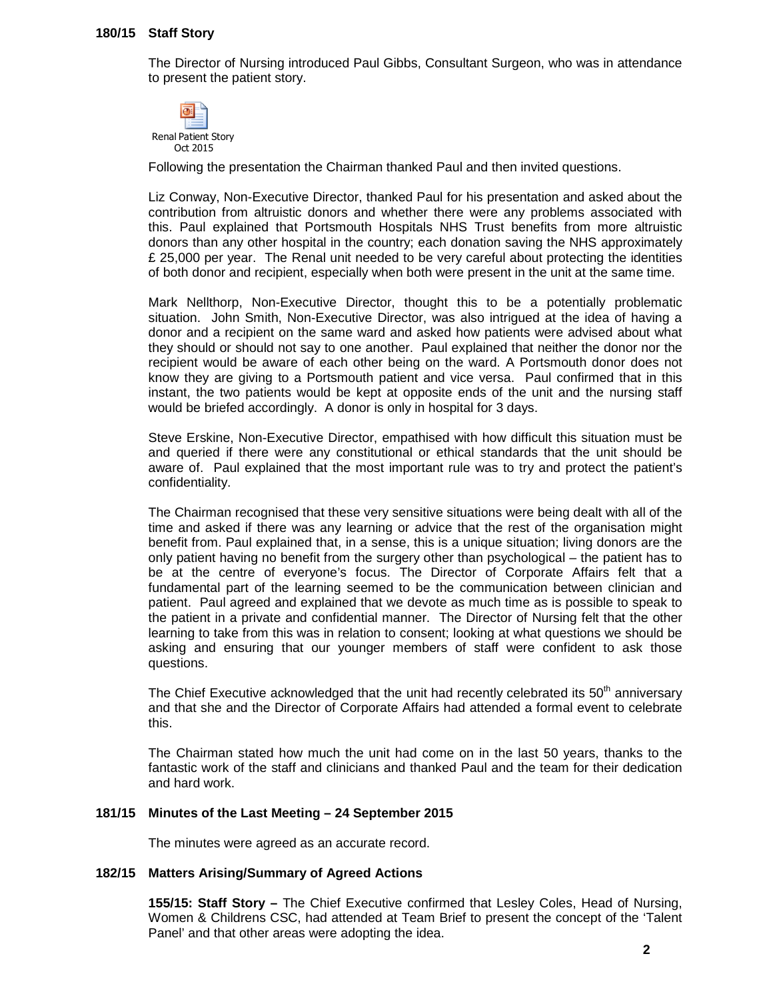The Director of Nursing introduced Paul Gibbs, Consultant Surgeon, who was in attendance to present the patient story.



Following the presentation the Chairman thanked Paul and then invited questions.

Liz Conway, Non-Executive Director, thanked Paul for his presentation and asked about the contribution from altruistic donors and whether there were any problems associated with this. Paul explained that Portsmouth Hospitals NHS Trust benefits from more altruistic donors than any other hospital in the country; each donation saving the NHS approximately £ 25,000 per year. The Renal unit needed to be very careful about protecting the identities of both donor and recipient, especially when both were present in the unit at the same time.

Mark Nellthorp, Non-Executive Director, thought this to be a potentially problematic situation. John Smith, Non-Executive Director, was also intrigued at the idea of having a donor and a recipient on the same ward and asked how patients were advised about what they should or should not say to one another. Paul explained that neither the donor nor the recipient would be aware of each other being on the ward. A Portsmouth donor does not know they are giving to a Portsmouth patient and vice versa. Paul confirmed that in this instant, the two patients would be kept at opposite ends of the unit and the nursing staff would be briefed accordingly. A donor is only in hospital for 3 days.

Steve Erskine, Non-Executive Director, empathised with how difficult this situation must be and queried if there were any constitutional or ethical standards that the unit should be aware of. Paul explained that the most important rule was to try and protect the patient's confidentiality.

The Chairman recognised that these very sensitive situations were being dealt with all of the time and asked if there was any learning or advice that the rest of the organisation might benefit from. Paul explained that, in a sense, this is a unique situation; living donors are the only patient having no benefit from the surgery other than psychological – the patient has to be at the centre of everyone's focus. The Director of Corporate Affairs felt that a fundamental part of the learning seemed to be the communication between clinician and patient. Paul agreed and explained that we devote as much time as is possible to speak to the patient in a private and confidential manner. The Director of Nursing felt that the other learning to take from this was in relation to consent; looking at what questions we should be asking and ensuring that our younger members of staff were confident to ask those questions.

The Chief Executive acknowledged that the unit had recently celebrated its  $50<sup>th</sup>$  anniversary and that she and the Director of Corporate Affairs had attended a formal event to celebrate this.

The Chairman stated how much the unit had come on in the last 50 years, thanks to the fantastic work of the staff and clinicians and thanked Paul and the team for their dedication and hard work.

## **181/15 Minutes of the Last Meeting – 24 September 2015**

The minutes were agreed as an accurate record.

#### **182/15 Matters Arising/Summary of Agreed Actions**

**155/15: Staff Story –** The Chief Executive confirmed that Lesley Coles, Head of Nursing, Women & Childrens CSC, had attended at Team Brief to present the concept of the 'Talent Panel' and that other areas were adopting the idea.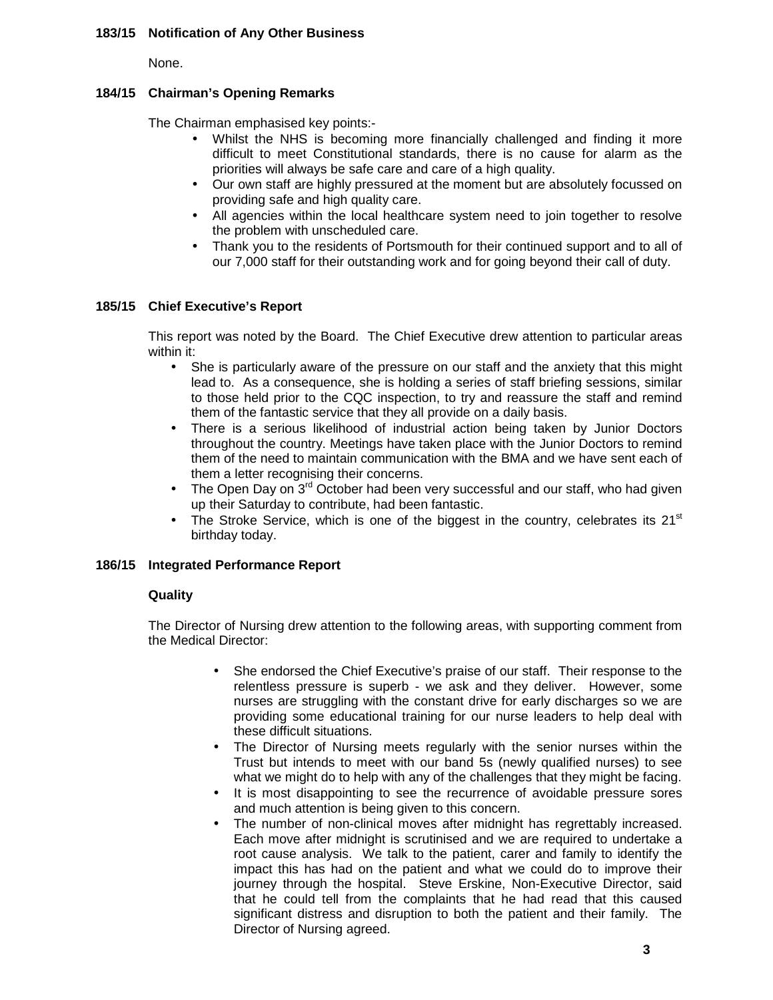## **183/15 Notification of Any Other Business**

None.

# **184/15 Chairman's Opening Remarks**

The Chairman emphasised key points:-

- Whilst the NHS is becoming more financially challenged and finding it more difficult to meet Constitutional standards, there is no cause for alarm as the priorities will always be safe care and care of a high quality.
- Our own staff are highly pressured at the moment but are absolutely focussed on providing safe and high quality care.
- All agencies within the local healthcare system need to join together to resolve the problem with unscheduled care.
- Thank you to the residents of Portsmouth for their continued support and to all of our 7,000 staff for their outstanding work and for going beyond their call of duty.

# **185/15 Chief Executive's Report**

This report was noted by the Board. The Chief Executive drew attention to particular areas within it:

- She is particularly aware of the pressure on our staff and the anxiety that this might lead to. As a consequence, she is holding a series of staff briefing sessions, similar to those held prior to the CQC inspection, to try and reassure the staff and remind them of the fantastic service that they all provide on a daily basis.
- There is a serious likelihood of industrial action being taken by Junior Doctors throughout the country. Meetings have taken place with the Junior Doctors to remind them of the need to maintain communication with the BMA and we have sent each of them a letter recognising their concerns.
- The Open Day on  $3^{rd}$  October had been very successful and our staff, who had given up their Saturday to contribute, had been fantastic.
- The Stroke Service, which is one of the biggest in the country, celebrates its  $21<sup>st</sup>$ birthday today.

# **186/15 Integrated Performance Report**

# **Quality**

The Director of Nursing drew attention to the following areas, with supporting comment from the Medical Director:

- She endorsed the Chief Executive's praise of our staff. Their response to the relentless pressure is superb - we ask and they deliver. However, some nurses are struggling with the constant drive for early discharges so we are providing some educational training for our nurse leaders to help deal with these difficult situations.
- The Director of Nursing meets regularly with the senior nurses within the Trust but intends to meet with our band 5s (newly qualified nurses) to see what we might do to help with any of the challenges that they might be facing.
- It is most disappointing to see the recurrence of avoidable pressure sores and much attention is being given to this concern.
- The number of non-clinical moves after midnight has regrettably increased. Each move after midnight is scrutinised and we are required to undertake a root cause analysis. We talk to the patient, carer and family to identify the impact this has had on the patient and what we could do to improve their journey through the hospital. Steve Erskine, Non-Executive Director, said that he could tell from the complaints that he had read that this caused significant distress and disruption to both the patient and their family. The Director of Nursing agreed.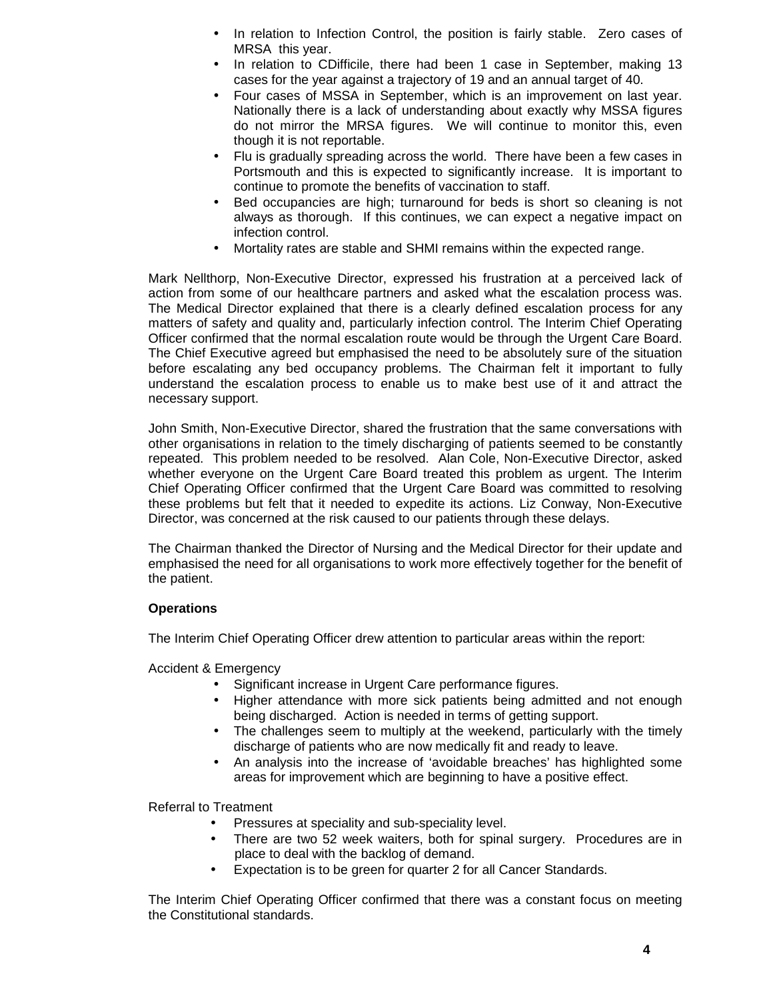- In relation to Infection Control, the position is fairly stable. Zero cases of MRSA this year.
- In relation to CDifficile, there had been 1 case in September, making 13 cases for the year against a trajectory of 19 and an annual target of 40.
- Four cases of MSSA in September, which is an improvement on last year. Nationally there is a lack of understanding about exactly why MSSA figures do not mirror the MRSA figures. We will continue to monitor this, even though it is not reportable.
- Flu is gradually spreading across the world. There have been a few cases in Portsmouth and this is expected to significantly increase. It is important to continue to promote the benefits of vaccination to staff.
- Bed occupancies are high; turnaround for beds is short so cleaning is not always as thorough. If this continues, we can expect a negative impact on infection control.
- Mortality rates are stable and SHMI remains within the expected range.

Mark Nellthorp, Non-Executive Director, expressed his frustration at a perceived lack of action from some of our healthcare partners and asked what the escalation process was. The Medical Director explained that there is a clearly defined escalation process for any matters of safety and quality and, particularly infection control. The Interim Chief Operating Officer confirmed that the normal escalation route would be through the Urgent Care Board. The Chief Executive agreed but emphasised the need to be absolutely sure of the situation before escalating any bed occupancy problems. The Chairman felt it important to fully understand the escalation process to enable us to make best use of it and attract the necessary support.

John Smith, Non-Executive Director, shared the frustration that the same conversations with other organisations in relation to the timely discharging of patients seemed to be constantly repeated. This problem needed to be resolved. Alan Cole, Non-Executive Director, asked whether everyone on the Urgent Care Board treated this problem as urgent. The Interim Chief Operating Officer confirmed that the Urgent Care Board was committed to resolving these problems but felt that it needed to expedite its actions. Liz Conway, Non-Executive Director, was concerned at the risk caused to our patients through these delays.

The Chairman thanked the Director of Nursing and the Medical Director for their update and emphasised the need for all organisations to work more effectively together for the benefit of the patient.

# **Operations**

The Interim Chief Operating Officer drew attention to particular areas within the report:

Accident & Emergency

- Significant increase in Urgent Care performance figures.
- Higher attendance with more sick patients being admitted and not enough being discharged. Action is needed in terms of getting support.
- The challenges seem to multiply at the weekend, particularly with the timely discharge of patients who are now medically fit and ready to leave.
- An analysis into the increase of 'avoidable breaches' has highlighted some areas for improvement which are beginning to have a positive effect.

Referral to Treatment

- Pressures at speciality and sub-speciality level.
- There are two 52 week waiters, both for spinal surgery. Procedures are in place to deal with the backlog of demand.
- Expectation is to be green for quarter 2 for all Cancer Standards.

The Interim Chief Operating Officer confirmed that there was a constant focus on meeting the Constitutional standards.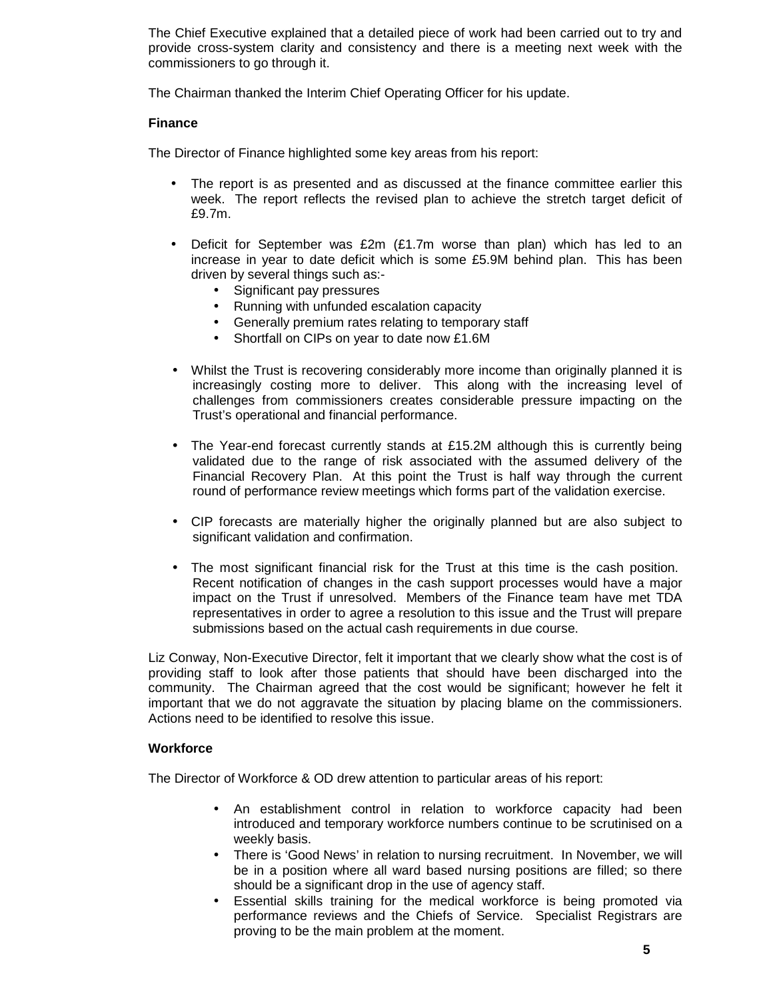The Chief Executive explained that a detailed piece of work had been carried out to try and provide cross-system clarity and consistency and there is a meeting next week with the commissioners to go through it.

The Chairman thanked the Interim Chief Operating Officer for his update.

# **Finance**

The Director of Finance highlighted some key areas from his report:

- The report is as presented and as discussed at the finance committee earlier this week. The report reflects the revised plan to achieve the stretch target deficit of £9.7m.
- Deficit for September was £2m (£1.7m worse than plan) which has led to an increase in year to date deficit which is some £5.9M behind plan. This has been driven by several things such as:-
	- Significant pay pressures
	- Running with unfunded escalation capacity
	- Generally premium rates relating to temporary staff
	- Shortfall on CIPs on year to date now £1.6M
- Whilst the Trust is recovering considerably more income than originally planned it is increasingly costing more to deliver. This along with the increasing level of challenges from commissioners creates considerable pressure impacting on the Trust's operational and financial performance.
- The Year-end forecast currently stands at  $£15.2M$  although this is currently being validated due to the range of risk associated with the assumed delivery of the Financial Recovery Plan. At this point the Trust is half way through the current round of performance review meetings which forms part of the validation exercise.
- CIP forecasts are materially higher the originally planned but are also subject to significant validation and confirmation.
- The most significant financial risk for the Trust at this time is the cash position. Recent notification of changes in the cash support processes would have a major impact on the Trust if unresolved. Members of the Finance team have met TDA representatives in order to agree a resolution to this issue and the Trust will prepare submissions based on the actual cash requirements in due course.

Liz Conway, Non-Executive Director, felt it important that we clearly show what the cost is of providing staff to look after those patients that should have been discharged into the community. The Chairman agreed that the cost would be significant; however he felt it important that we do not aggravate the situation by placing blame on the commissioners. Actions need to be identified to resolve this issue.

# **Workforce**

The Director of Workforce & OD drew attention to particular areas of his report:

- An establishment control in relation to workforce capacity had been introduced and temporary workforce numbers continue to be scrutinised on a weekly basis.
- There is 'Good News' in relation to nursing recruitment. In November, we will be in a position where all ward based nursing positions are filled; so there should be a significant drop in the use of agency staff.
- Essential skills training for the medical workforce is being promoted via performance reviews and the Chiefs of Service. Specialist Registrars are proving to be the main problem at the moment.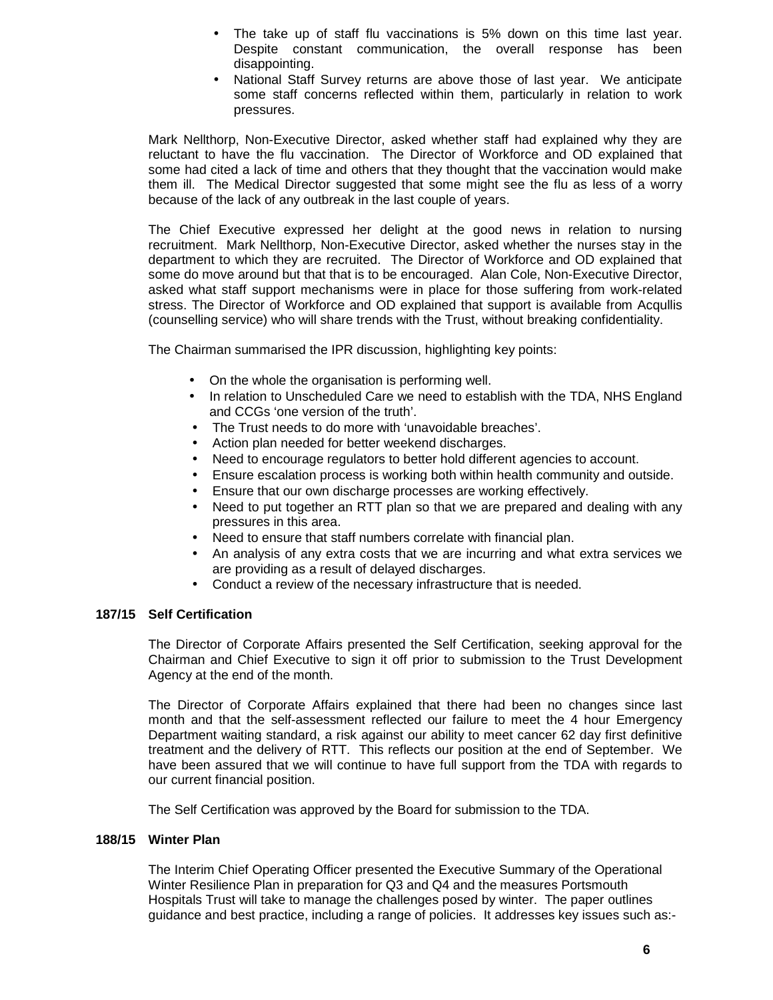- The take up of staff flu vaccinations is 5% down on this time last year. Despite constant communication, the overall response has been disappointing.
- National Staff Survey returns are above those of last year. We anticipate some staff concerns reflected within them, particularly in relation to work pressures.

Mark Nellthorp, Non-Executive Director, asked whether staff had explained why they are reluctant to have the flu vaccination. The Director of Workforce and OD explained that some had cited a lack of time and others that they thought that the vaccination would make them ill. The Medical Director suggested that some might see the flu as less of a worry because of the lack of any outbreak in the last couple of years.

The Chief Executive expressed her delight at the good news in relation to nursing recruitment. Mark Nellthorp, Non-Executive Director, asked whether the nurses stay in the department to which they are recruited. The Director of Workforce and OD explained that some do move around but that that is to be encouraged. Alan Cole, Non-Executive Director, asked what staff support mechanisms were in place for those suffering from work-related stress. The Director of Workforce and OD explained that support is available from Acqullis (counselling service) who will share trends with the Trust, without breaking confidentiality.

The Chairman summarised the IPR discussion, highlighting key points:

- On the whole the organisation is performing well.
- In relation to Unscheduled Care we need to establish with the TDA, NHS England and CCGs 'one version of the truth'.
- The Trust needs to do more with 'unavoidable breaches'.
- Action plan needed for better weekend discharges.
- Need to encourage regulators to better hold different agencies to account.
- Ensure escalation process is working both within health community and outside.
- Ensure that our own discharge processes are working effectively.
- Need to put together an RTT plan so that we are prepared and dealing with any pressures in this area.
- Need to ensure that staff numbers correlate with financial plan.
- An analysis of any extra costs that we are incurring and what extra services we are providing as a result of delayed discharges.
- Conduct a review of the necessary infrastructure that is needed.

## **187/15 Self Certification**

The Director of Corporate Affairs presented the Self Certification, seeking approval for the Chairman and Chief Executive to sign it off prior to submission to the Trust Development Agency at the end of the month.

The Director of Corporate Affairs explained that there had been no changes since last month and that the self-assessment reflected our failure to meet the 4 hour Emergency Department waiting standard, a risk against our ability to meet cancer 62 day first definitive treatment and the delivery of RTT. This reflects our position at the end of September. We have been assured that we will continue to have full support from the TDA with regards to our current financial position.

The Self Certification was approved by the Board for submission to the TDA.

## **188/15 Winter Plan**

The Interim Chief Operating Officer presented the Executive Summary of the Operational Winter Resilience Plan in preparation for Q3 and Q4 and the measures Portsmouth Hospitals Trust will take to manage the challenges posed by winter. The paper outlines guidance and best practice, including a range of policies. It addresses key issues such as:-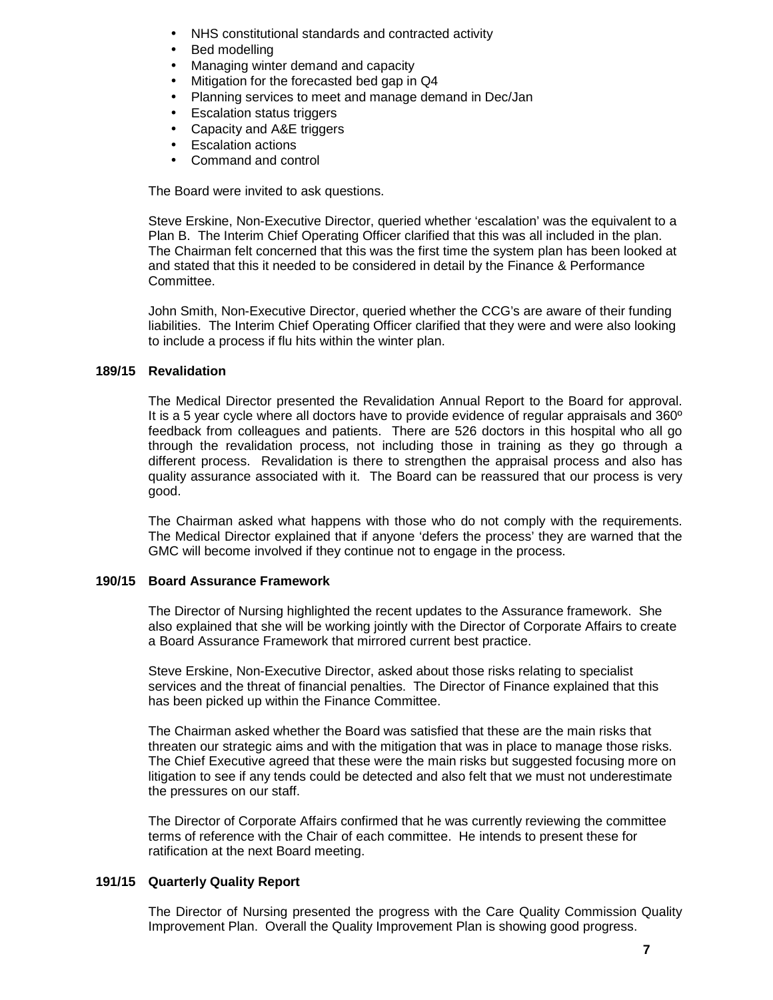- NHS constitutional standards and contracted activity
- Bed modelling
- Managing winter demand and capacity
- Mitigation for the forecasted bed gap in Q4
- Planning services to meet and manage demand in Dec/Jan
- Escalation status triggers
- Capacity and A&E triggers
- **Escalation actions**
- Command and control

The Board were invited to ask questions.

Steve Erskine, Non-Executive Director, queried whether 'escalation' was the equivalent to a Plan B. The Interim Chief Operating Officer clarified that this was all included in the plan. The Chairman felt concerned that this was the first time the system plan has been looked at and stated that this it needed to be considered in detail by the Finance & Performance Committee.

John Smith, Non-Executive Director, queried whether the CCG's are aware of their funding liabilities. The Interim Chief Operating Officer clarified that they were and were also looking to include a process if flu hits within the winter plan.

## **189/15 Revalidation**

The Medical Director presented the Revalidation Annual Report to the Board for approval. It is a 5 year cycle where all doctors have to provide evidence of regular appraisals and 360º feedback from colleagues and patients. There are 526 doctors in this hospital who all go through the revalidation process, not including those in training as they go through a different process. Revalidation is there to strengthen the appraisal process and also has quality assurance associated with it. The Board can be reassured that our process is very good.

The Chairman asked what happens with those who do not comply with the requirements. The Medical Director explained that if anyone 'defers the process' they are warned that the GMC will become involved if they continue not to engage in the process.

## **190/15 Board Assurance Framework**

The Director of Nursing highlighted the recent updates to the Assurance framework. She also explained that she will be working jointly with the Director of Corporate Affairs to create a Board Assurance Framework that mirrored current best practice.

Steve Erskine, Non-Executive Director, asked about those risks relating to specialist services and the threat of financial penalties. The Director of Finance explained that this has been picked up within the Finance Committee.

The Chairman asked whether the Board was satisfied that these are the main risks that threaten our strategic aims and with the mitigation that was in place to manage those risks. The Chief Executive agreed that these were the main risks but suggested focusing more on litigation to see if any tends could be detected and also felt that we must not underestimate the pressures on our staff.

The Director of Corporate Affairs confirmed that he was currently reviewing the committee terms of reference with the Chair of each committee. He intends to present these for ratification at the next Board meeting.

## **191/15 Quarterly Quality Report**

The Director of Nursing presented the progress with the Care Quality Commission Quality Improvement Plan. Overall the Quality Improvement Plan is showing good progress.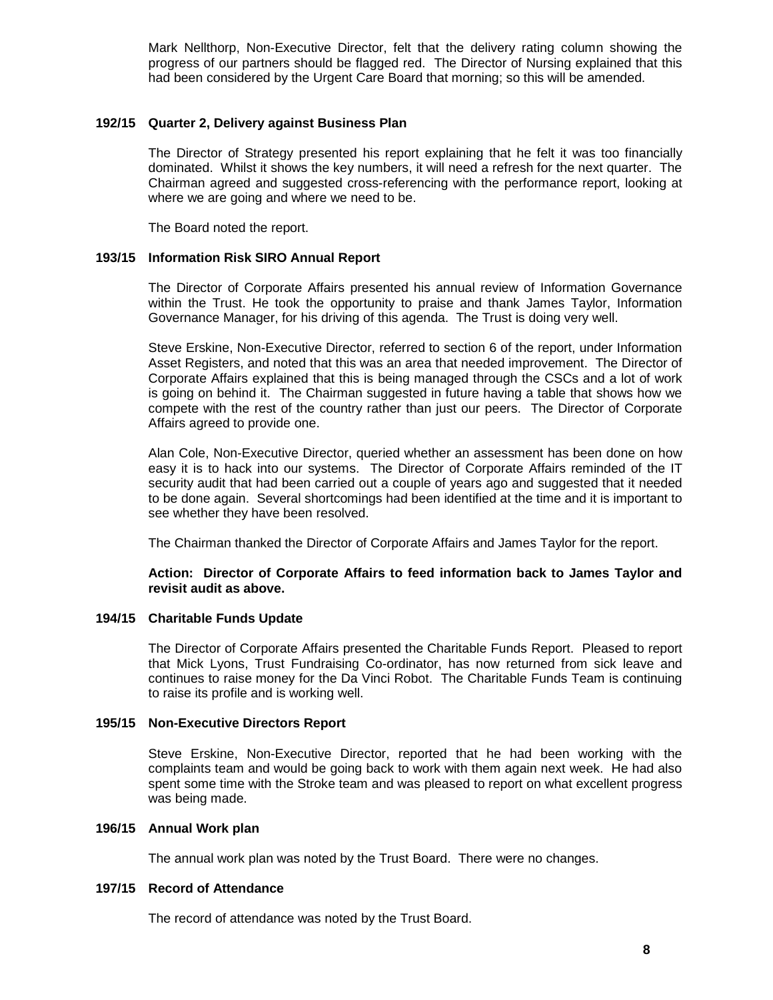Mark Nellthorp, Non-Executive Director, felt that the delivery rating column showing the progress of our partners should be flagged red. The Director of Nursing explained that this had been considered by the Urgent Care Board that morning; so this will be amended.

## **192/15 Quarter 2, Delivery against Business Plan**

The Director of Strategy presented his report explaining that he felt it was too financially dominated. Whilst it shows the key numbers, it will need a refresh for the next quarter. The Chairman agreed and suggested cross-referencing with the performance report, looking at where we are going and where we need to be.

The Board noted the report.

## **193/15 Information Risk SIRO Annual Report**

The Director of Corporate Affairs presented his annual review of Information Governance within the Trust. He took the opportunity to praise and thank James Taylor, Information Governance Manager, for his driving of this agenda. The Trust is doing very well.

Steve Erskine, Non-Executive Director, referred to section 6 of the report, under Information Asset Registers, and noted that this was an area that needed improvement. The Director of Corporate Affairs explained that this is being managed through the CSCs and a lot of work is going on behind it. The Chairman suggested in future having a table that shows how we compete with the rest of the country rather than just our peers. The Director of Corporate Affairs agreed to provide one.

Alan Cole, Non-Executive Director, queried whether an assessment has been done on how easy it is to hack into our systems. The Director of Corporate Affairs reminded of the IT security audit that had been carried out a couple of years ago and suggested that it needed to be done again. Several shortcomings had been identified at the time and it is important to see whether they have been resolved.

The Chairman thanked the Director of Corporate Affairs and James Taylor for the report.

## **Action: Director of Corporate Affairs to feed information back to James Taylor and revisit audit as above.**

## **194/15 Charitable Funds Update**

The Director of Corporate Affairs presented the Charitable Funds Report. Pleased to report that Mick Lyons, Trust Fundraising Co-ordinator, has now returned from sick leave and continues to raise money for the Da Vinci Robot. The Charitable Funds Team is continuing to raise its profile and is working well.

## **195/15 Non-Executive Directors Report**

Steve Erskine, Non-Executive Director, reported that he had been working with the complaints team and would be going back to work with them again next week. He had also spent some time with the Stroke team and was pleased to report on what excellent progress was being made.

## **196/15 Annual Work plan**

The annual work plan was noted by the Trust Board. There were no changes.

## **197/15 Record of Attendance**

The record of attendance was noted by the Trust Board.